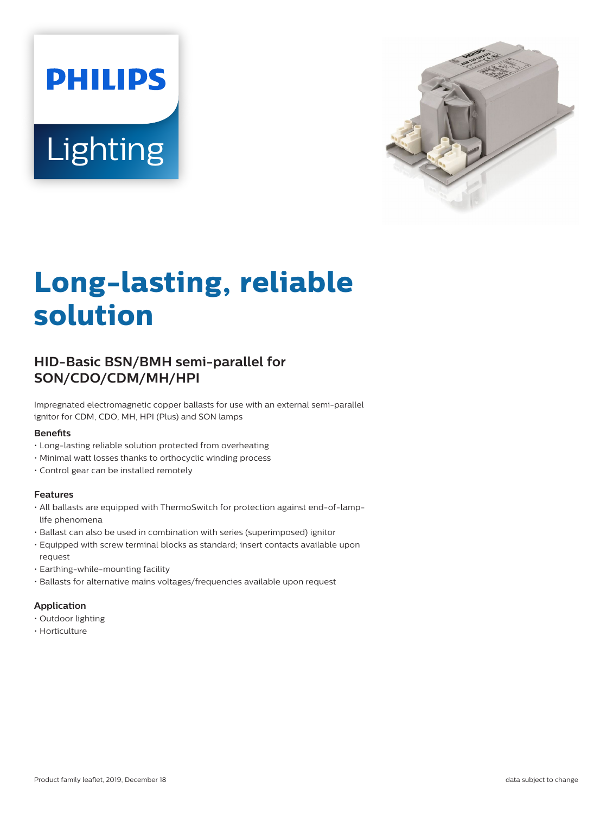# **PHILIPS** Lighting



# **Long-lasting, reliable solution**

## **HID-Basic BSN/BMH semi-parallel for SON/CDO/CDM/MH/HPI**

Impregnated electromagnetic copper ballasts for use with an external semi-parallel ignitor for CDM, CDO, MH, HPI (Plus) and SON lamps

#### **Benefits**

- Long-lasting reliable solution protected from overheating
- Minimal watt losses thanks to orthocyclic winding process
- Control gear can be installed remotely

#### **Features**

- All ballasts are equipped with ThermoSwitch for protection against end-of-lamplife phenomena
- Ballast can also be used in combination with series (superimposed) ignitor
- Equipped with screw terminal blocks as standard; insert contacts available upon request
- Earthing-while-mounting facility
- Ballasts for alternative mains voltages/frequencies available upon request

#### **Application**

- Outdoor lighting
- Horticulture